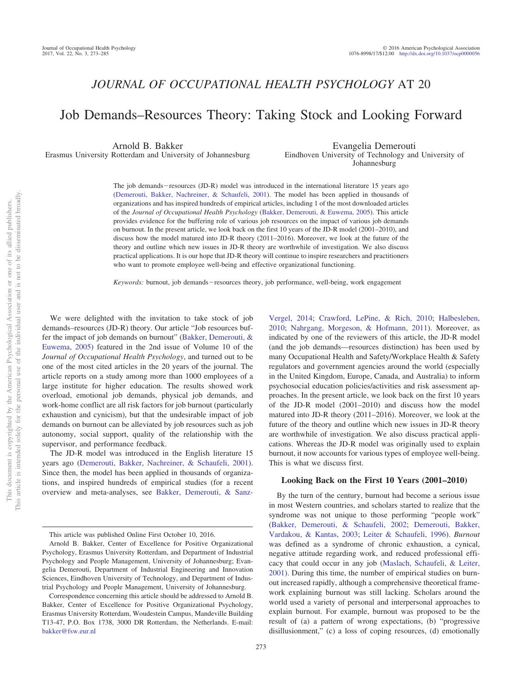## *JOURNAL OF OCCUPATIONAL HEALTH PSYCHOLOGY* AT 20

# Job Demands–Resources Theory: Taking Stock and Looking Forward

Arnold B. Bakker Erasmus University Rotterdam and University of Johannesburg

Evangelia Demerouti Eindhoven University of Technology and University of Johannesburg

The job demands-resources (JD-R) model was introduced in the international literature 15 years ago [\(Demerouti, Bakker, Nachreiner, & Schaufeli, 2001\)](#page-10-0). The model has been applied in thousands of organizations and has inspired hundreds of empirical articles, including 1 of the most downloaded articles of the *Journal of Occupational Health Psychology* [\(Bakker, Demerouti, & Euwema, 2005\)](#page-9-0). This article provides evidence for the buffering role of various job resources on the impact of various job demands on burnout. In the present article, we look back on the first 10 years of the JD-R model (2001–2010), and discuss how the model matured into JD-R theory (2011–2016). Moreover, we look at the future of the theory and outline which new issues in JD-R theory are worthwhile of investigation. We also discuss practical applications. It is our hope that JD-R theory will continue to inspire researchers and practitioners who want to promote employee well-being and effective organizational functioning.

*Keywords:* burnout, job demands-resources theory, job performance, well-being, work engagement

We were delighted with the invitation to take stock of job demands–resources (JD-R) theory. Our article "Job resources buffer the impact of job demands on burnout" [\(Bakker, Demerouti, &](#page-9-0) [Euwema, 2005\)](#page-9-0) featured in the 2nd issue of Volume 10 of the *Journal of Occupational Health Psychology*, and turned out to be one of the most cited articles in the 20 years of the journal. The article reports on a study among more than 1000 employees of a large institute for higher education. The results showed work overload, emotional job demands, physical job demands, and work-home conflict are all risk factors for job burnout (particularly exhaustion and cynicism), but that the undesirable impact of job demands on burnout can be alleviated by job resources such as job autonomy, social support, quality of the relationship with the supervisor, and performance feedback.

The JD-R model was introduced in the English literature 15 years ago [\(Demerouti, Bakker, Nachreiner, & Schaufeli, 2001\)](#page-10-0). Since then, the model has been applied in thousands of organizations, and inspired hundreds of empirical studies (for a recent overview and meta-analyses, see [Bakker, Demerouti, & Sanz-](#page-9-1)

[Vergel, 2014;](#page-9-1) [Crawford, LePine, & Rich, 2010;](#page-10-1) [Halbesleben,](#page-10-2) [2010;](#page-10-2) [Nahrgang, Morgeson, & Hofmann, 2011\)](#page-11-0). Moreover, as indicated by one of the reviewers of this article, the JD-R model (and the job demands—resources distinction) has been used by many Occupational Health and Safety/Workplace Health & Safety regulators and government agencies around the world (especially in the United Kingdom, Europe, Canada, and Australia) to inform psychosocial education policies/activities and risk assessment approaches. In the present article, we look back on the first 10 years of the JD-R model (2001–2010) and discuss how the model matured into JD-R theory (2011–2016). Moreover, we look at the future of the theory and outline which new issues in JD-R theory are worthwhile of investigation. We also discuss practical applications. Whereas the JD-R model was originally used to explain burnout, it now accounts for various types of employee well-being. This is what we discuss first.

## **Looking Back on the First 10 Years (2001–2010)**

By the turn of the century, burnout had become a serious issue in most Western countries, and scholars started to realize that the syndrome was not unique to those performing "people work" [\(Bakker, Demerouti, & Schaufeli, 2002;](#page-9-2) [Demerouti, Bakker,](#page-10-3) [Vardakou, & Kantas, 2003;](#page-10-3) [Leiter & Schaufeli, 1996\)](#page-11-1). *Burnout* was defined as a syndrome of chronic exhaustion, a cynical, negative attitude regarding work, and reduced professional efficacy that could occur in any job [\(Maslach, Schaufeli, & Leiter,](#page-11-2) [2001\)](#page-11-2). During this time, the number of empirical studies on burnout increased rapidly, although a comprehensive theoretical framework explaining burnout was still lacking. Scholars around the world used a variety of personal and interpersonal approaches to explain burnout. For example, burnout was proposed to be the result of (a) a pattern of wrong expectations, (b) "progressive disillusionment," (c) a loss of coping resources, (d) emotionally

This article was published Online First October 10, 2016.

Arnold B. Bakker, Center of Excellence for Positive Organizational Psychology, Erasmus University Rotterdam, and Department of Industrial Psychology and People Management, University of Johannesburg; Evangelia Demerouti, Department of Industrial Engineering and Innovation Sciences, Eindhoven University of Technology, and Department of Industrial Psychology and People Management, University of Johannesburg.

Correspondence concerning this article should be addressed to Arnold B. Bakker, Center of Excellence for Positive Organizational Psychology, Erasmus University Rotterdam, Woudestein Campus, Mandeville Building T13-47, P.O. Box 1738, 3000 DR Rotterdam, the Netherlands. E-mail: [bakker@fsw.eur.nl](mailto:bakker@fsw.eur.nl)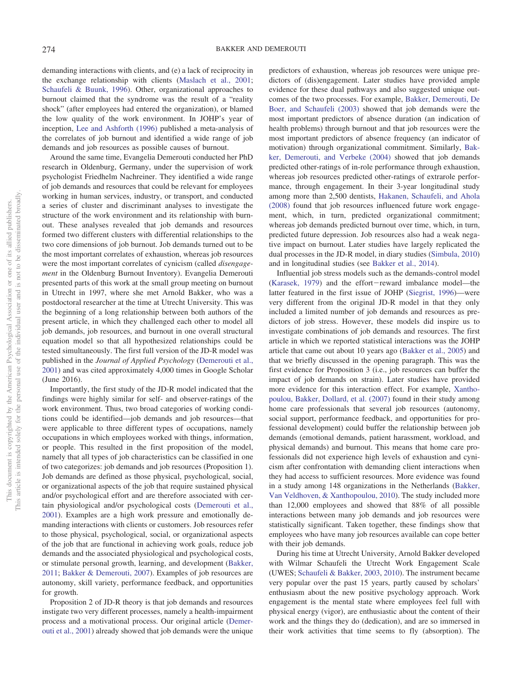demanding interactions with clients, and (e) a lack of reciprocity in the exchange relationship with clients [\(Maslach et al., 2001;](#page-11-2) [Schaufeli & Buunk, 1996\)](#page-11-3). Other, organizational approaches to burnout claimed that the syndrome was the result of a "reality shock" (after employees had entered the organization), or blamed the low quality of the work environment. In JOHP's year of inception, [Lee and Ashforth \(1996\)](#page-11-4) published a meta-analysis of the correlates of job burnout and identified a wide range of job demands and job resources as possible causes of burnout.

Around the same time, Evangelia Demerouti conducted her PhD research in Oldenburg, Germany, under the supervision of work psychologist Friedhelm Nachreiner. They identified a wide range of job demands and resources that could be relevant for employees working in human services, industry, or transport, and conducted a series of cluster and discriminant analyses to investigate the structure of the work environment and its relationship with burnout. These analyses revealed that job demands and resources formed two different clusters with differential relationships to the two core dimensions of job burnout. Job demands turned out to be the most important correlates of exhaustion, whereas job resources were the most important correlates of cynicism (called *disengagement* in the Oldenburg Burnout Inventory). Evangelia Demerouti presented parts of this work at the small group meeting on burnout in Utrecht in 1997, where she met Arnold Bakker, who was a postdoctoral researcher at the time at Utrecht University. This was the beginning of a long relationship between both authors of the present article, in which they challenged each other to model all job demands, job resources, and burnout in one overall structural equation model so that all hypothesized relationships could be tested simultaneously. The first full version of the JD-R model was published in the *Journal of Applied Psychology* [\(Demerouti et al.,](#page-10-0) [2001\)](#page-10-0) and was cited approximately 4,000 times in Google Scholar (June 2016).

Importantly, the first study of the JD-R model indicated that the findings were highly similar for self- and observer-ratings of the work environment. Thus, two broad categories of working conditions could be identified—job demands and job resources—that were applicable to three different types of occupations, namely occupations in which employees worked with things, information, or people. This resulted in the first proposition of the model, namely that all types of job characteristics can be classified in one of two categorizes: job demands and job resources (Proposition 1). Job demands are defined as those physical, psychological, social, or organizational aspects of the job that require sustained physical and/or psychological effort and are therefore associated with certain physiological and/or psychological costs [\(Demerouti et al.,](#page-10-0) [2001\)](#page-10-0). Examples are a high work pressure and emotionally demanding interactions with clients or customers. Job resources refer to those physical, psychological, social, or organizational aspects of the job that are functional in achieving work goals, reduce job demands and the associated physiological and psychological costs, or stimulate personal growth, learning, and development [\(Bakker,](#page-9-3) [2011;](#page-9-3) [Bakker & Demerouti, 2007\)](#page-9-4). Examples of job resources are autonomy, skill variety, performance feedback, and opportunities for growth.

Proposition 2 of JD-R theory is that job demands and resources instigate two very different processes, namely a health-impairment process and a motivational process. Our original article [\(Demer](#page-10-0)[outi et al., 2001\)](#page-10-0) already showed that job demands were the unique

predictors of exhaustion, whereas job resources were unique predictors of (dis)engagement. Later studies have provided ample evidence for these dual pathways and also suggested unique outcomes of the two processes. For example, [Bakker, Demerouti, De](#page-9-5) [Boer, and Schaufeli \(2003\)](#page-9-5) showed that job demands were the most important predictors of absence duration (an indication of health problems) through burnout and that job resources were the most important predictors of absence frequency (an indicator of motivation) through organizational commitment. Similarly, [Bak](#page-9-6)[ker, Demerouti, and Verbeke \(2004\)](#page-9-6) showed that job demands predicted other-ratings of in-role performance through exhaustion, whereas job resources predicted other-ratings of extrarole performance, through engagement. In their 3-year longitudinal study among more than 2,500 dentists, [Hakanen, Schaufeli, and Ahola](#page-10-4) [\(2008\)](#page-10-4) found that job resources influenced future work engagement, which, in turn, predicted organizational commitment; whereas job demands predicted burnout over time, which, in turn, predicted future depression. Job resources also had a weak negative impact on burnout. Later studies have largely replicated the dual processes in the JD-R model, in diary studies [\(Simbula, 2010\)](#page-11-5) and in longitudinal studies (see [Bakker et al., 2014\)](#page-9-7).

Influential job stress models such as the demands-control model [\(Karasek, 1979\)](#page-11-6) and the effort-reward imbalance model—the latter featured in the first issue of JOHP [\(Siegrist, 1996\)](#page-11-7)—were very different from the original JD-R model in that they only included a limited number of job demands and resources as predictors of job stress. However, these models did inspire us to investigate combinations of job demands and resources. The first article in which we reported statistical interactions was the JOHP article that came out about 10 years ago [\(Bakker et al., 2005\)](#page-9-0) and that we briefly discussed in the opening paragraph. This was the first evidence for Proposition 3 (i.e., job resources can buffer the impact of job demands on strain). Later studies have provided more evidence for this interaction effect. For example, [Xantho](#page-12-0)[poulou, Bakker, Dollard, et al. \(2007\)](#page-12-0) found in their study among home care professionals that several job resources (autonomy, social support, performance feedback, and opportunities for professional development) could buffer the relationship between job demands (emotional demands, patient harassment, workload, and physical demands) and burnout. This means that home care professionals did not experience high levels of exhaustion and cynicism after confrontation with demanding client interactions when they had access to sufficient resources. More evidence was found in a study among 148 organizations in the Netherlands [\(Bakker,](#page-9-8) [Van Veldhoven, & Xanthopoulou, 2010\)](#page-9-8). The study included more than 12,000 employees and showed that 88% of all possible interactions between many job demands and job resources were statistically significant. Taken together, these findings show that employees who have many job resources available can cope better with their job demands.

During his time at Utrecht University, Arnold Bakker developed with Wilmar Schaufeli the Utrecht Work Engagement Scale (UWES; [Schaufeli & Bakker, 2003,](#page-11-8) [2010\)](#page-11-9). The instrument became very popular over the past 15 years, partly caused by scholars' enthusiasm about the new positive psychology approach. Work engagement is the mental state where employees feel full with physical energy (vigor), are enthusiastic about the content of their work and the things they do (dedication), and are so immersed in their work activities that time seems to fly (absorption). The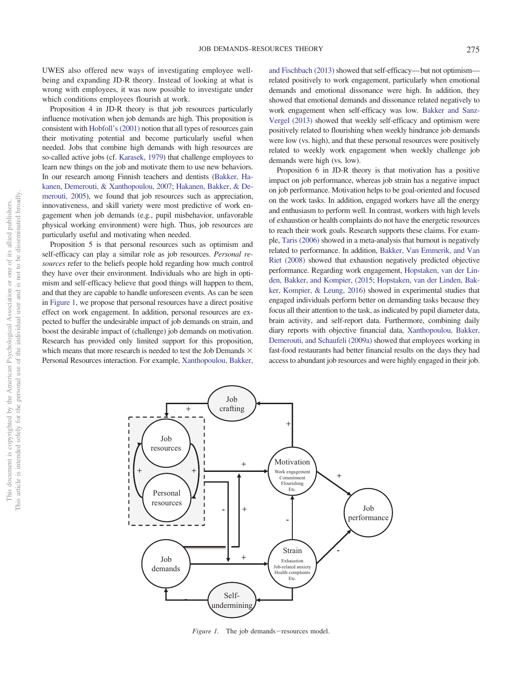UWES also offered new ways of investigating employee wellbeing and expanding JD-R theory. Instead of looking at what is wrong with employees, it was now possible to investigate under which conditions employees flourish at work.

Proposition 4 in JD-R theory is that job resources particularly influence motivation when job demands are high. This proposition is consistent with [Hobfoll's \(2001\)](#page-10-5) notion that all types of resources gain their motivating potential and become particularly useful when needed. Jobs that combine high demands with high resources are so-called active jobs (cf. [Karasek, 1979\)](#page-11-6) that challenge employees to learn new things on the job and motivate them to use new behaviors. In our research among Finnish teachers and dentists [\(Bakker, Ha](#page-9-4)[kanen, Demerouti, & Xanthopoulou, 2007;](#page-9-4) [Hakanen, Bakker, & De](#page-10-6)[merouti, 2005\)](#page-10-6), we found that job resources such as appreciation, innovativeness, and skill variety were most predictive of work engagement when job demands (e.g., pupil misbehavior, unfavorable physical working environment) were high. Thus, job resources are particularly useful and motivating when needed.

Proposition 5 is that personal resources such as optimism and self-efficacy can play a similar role as job resources. *Personal resources* refer to the beliefs people hold regarding how much control they have over their environment. Individuals who are high in optimism and self-efficacy believe that good things will happen to them, and that they are capable to handle unforeseen events. As can be seen in [Figure 1,](#page-2-0) we propose that personal resources have a direct positive effect on work engagement. In addition, personal resources are expected to buffer the undesirable impact of job demands on strain, and boost the desirable impact of (challenge) job demands on motivation. Research has provided only limited support for this proposition, which means that more research is needed to test the Job Demands  $\times$ Personal Resources interaction. For example, [Xanthopoulou, Bakker,](#page-12-1)

[and Fischbach \(2013\)](#page-12-1) showed that self-efficacy— but not optimism related positively to work engagement, particularly when emotional demands and emotional dissonance were high. In addition, they showed that emotional demands and dissonance related negatively to work engagement when self-efficacy was low. [Bakker and Sanz-](#page-9-9)[Vergel \(2013\)](#page-9-9) showed that weekly self-efficacy and optimism were positively related to flourishing when weekly hindrance job demands were low (vs. high), and that these personal resources were positively related to weekly work engagement when weekly challenge job demands were high (vs. low).

Proposition 6 in JD-R theory is that motivation has a positive impact on job performance, whereas job strain has a negative impact on job performance. Motivation helps to be goal-oriented and focused on the work tasks. In addition, engaged workers have all the energy and enthusiasm to perform well. In contrast, workers with high levels of exhaustion or health complaints do not have the energetic resources to reach their work goals. Research supports these claims. For example, [Taris \(2006\)](#page-11-10) showed in a meta-analysis that burnout is negatively related to performance. In addition, [Bakker, Van Emmerik, and Van](#page-9-10) [Riet \(2008\)](#page-9-10) showed that exhaustion negatively predicted objective performance. Regarding work engagement, [Hopstaken, van der Lin](#page-10-7)[den, Bakker, and Kompier, \(2015;](#page-10-7) [Hopstaken, van der Linden, Bak](#page-11-11)[ker, Kompier, & Leung, 2016\)](#page-11-11) showed in experimental studies that engaged individuals perform better on demanding tasks because they focus all their attention to the task, as indicated by pupil diameter data, brain activity, and self-report data. Furthermore, combining daily diary reports with objective financial data, [Xanthopoulou, Bakker,](#page-12-2) [Demerouti, and Schaufeli \(2009a\)](#page-12-2) showed that employees working in fast-food restaurants had better financial results on the days they had access to abundant job resources and were highly engaged in their job.



<span id="page-2-0"></span>Figure 1. The job demands-resources model.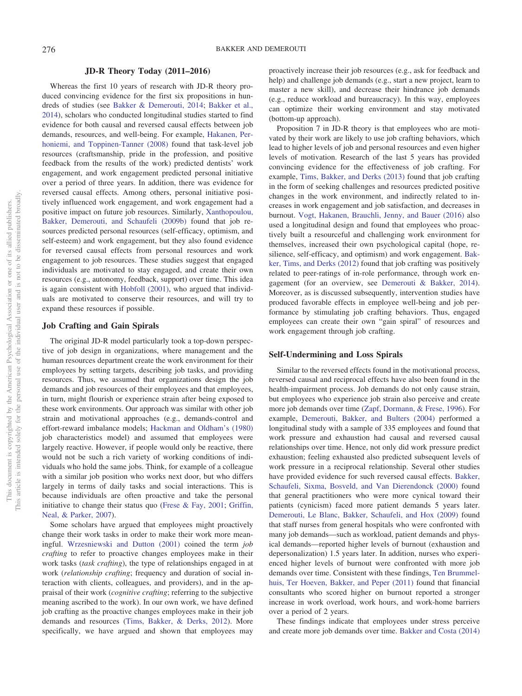## **JD-R Theory Today (2011–2016)**

Whereas the first 10 years of research with JD-R theory produced convincing evidence for the first six propositions in hundreds of studies (see [Bakker & Demerouti, 2014;](#page-9-11) [Bakker et al.,](#page-9-7) [2014\)](#page-9-7), scholars who conducted longitudinal studies started to find evidence for both causal and reversed causal effects between job demands, resources, and well-being. For example, [Hakanen, Per](#page-10-8)[honiemi, and Toppinen-Tanner \(2008\)](#page-10-8) found that task-level job resources (craftsmanship, pride in the profession, and positive feedback from the results of the work) predicted dentists' work engagement, and work engagement predicted personal initiative over a period of three years. In addition, there was evidence for reversed causal effects. Among others, personal initiative positively influenced work engagement, and work engagement had a positive impact on future job resources. Similarly, [Xanthopoulou,](#page-12-3) [Bakker, Demerouti, and Schaufeli \(2009b\)](#page-12-3) found that job resources predicted personal resources (self-efficacy, optimism, and self-esteem) and work engagement, but they also found evidence for reversed causal effects from personal resources and work engagement to job resources. These studies suggest that engaged individuals are motivated to stay engaged, and create their own resources (e.g., autonomy, feedback, support) over time. This idea is again consistent with [Hobfoll \(2001\),](#page-10-5) who argued that individuals are motivated to conserve their resources, and will try to expand these resources if possible.

#### **Job Crafting and Gain Spirals**

The original JD-R model particularly took a top-down perspective of job design in organizations, where management and the human resources department create the work environment for their employees by setting targets, describing job tasks, and providing resources. Thus, we assumed that organizations design the job demands and job resources of their employees and that employees, in turn, might flourish or experience strain after being exposed to these work environments. Our approach was similar with other job strain and motivational approaches (e.g., demands-control and effort-reward imbalance models; [Hackman and Oldham's \(1980\)](#page-10-9) job characteristics model) and assumed that employees were largely reactive. However, if people would only be reactive, there would not be such a rich variety of working conditions of individuals who hold the same jobs. Think, for example of a colleague with a similar job position who works next door, but who differs largely in terms of daily tasks and social interactions. This is because individuals are often proactive and take the personal initiative to change their status quo [\(Frese & Fay, 2001;](#page-10-10) [Griffin,](#page-10-11) [Neal, & Parker, 2007\)](#page-10-11).

Some scholars have argued that employees might proactively change their work tasks in order to make their work more meaningful. [Wrzesniewski and Dutton \(2001\)](#page-12-4) coined the term *job crafting* to refer to proactive changes employees make in their work tasks (*task crafting*), the type of relationships engaged in at work (*relationship crafting*; frequency and duration of social interaction with clients, colleagues, and providers), and in the appraisal of their work (*cognitive crafting*; referring to the subjective meaning ascribed to the work). In our own work, we have defined job crafting as the proactive changes employees make in their job demands and resources [\(Tims, Bakker, & Derks, 2012\)](#page-12-5). More specifically, we have argued and shown that employees may

proactively increase their job resources (e.g., ask for feedback and help) and challenge job demands (e.g., start a new project, learn to master a new skill), and decrease their hindrance job demands (e.g., reduce workload and bureaucracy). In this way, employees can optimize their working environment and stay motivated (bottom-up approach).

Proposition 7 in JD-R theory is that employees who are motivated by their work are likely to use job crafting behaviors, which lead to higher levels of job and personal resources and even higher levels of motivation. Research of the last 5 years has provided convincing evidence for the effectiveness of job crafting. For example, [Tims, Bakker, and Derks \(2013\)](#page-12-6) found that job crafting in the form of seeking challenges and resources predicted positive changes in the work environment, and indirectly related to increases in work engagement and job satisfaction, and decreases in burnout. [Vogt, Hakanen, Brauchli, Jenny, and Bauer \(2016\)](#page-12-7) also used a longitudinal design and found that employees who proactively built a resourceful and challenging work environment for themselves, increased their own psychological capital (hope, resilience, self-efficacy, and optimism) and work engagement. [Bak](#page-9-12)[ker, Tims, and Derks \(2012\)](#page-9-12) found that job crafting was positively related to peer-ratings of in-role performance, through work engagement (for an overview, see [Demerouti & Bakker, 2014\)](#page-10-12). Moreover, as is discussed subsequently, intervention studies have produced favorable effects in employee well-being and job performance by stimulating job crafting behaviors. Thus, engaged employees can create their own "gain spiral" of resources and work engagement through job crafting.

#### **Self-Undermining and Loss Spirals**

Similar to the reversed effects found in the motivational process, reversed causal and reciprocal effects have also been found in the health-impairment process. Job demands do not only cause strain, but employees who experience job strain also perceive and create more job demands over time [\(Zapf, Dormann, & Frese, 1996\)](#page-12-8). For example, [Demerouti, Bakker, and Bulters \(2004\)](#page-10-13) performed a longitudinal study with a sample of 335 employees and found that work pressure and exhaustion had causal and reversed causal relationships over time. Hence, not only did work pressure predict exhaustion; feeling exhausted also predicted subsequent levels of work pressure in a reciprocal relationship. Several other studies have provided evidence for such reversed causal effects. [Bakker,](#page-9-13) [Schaufeli, Sixma, Bosveld, and Van Dierendonck \(2000\)](#page-9-13) found that general practitioners who were more cynical toward their patients (cynicism) faced more patient demands 5 years later. [Demerouti, Le Blanc, Bakker, Schaufeli, and Hox \(2009\)](#page-10-14) found that staff nurses from general hospitals who were confronted with many job demands—such as workload, patient demands and physical demands—reported higher levels of burnout (exhaustion and depersonalization) 1.5 years later. In addition, nurses who experienced higher levels of burnout were confronted with more job demands over time. Consistent with these findings, [Ten Brummel](#page-12-9)[huis, Ter Hoeven, Bakker, and Peper \(2011\)](#page-12-9) found that financial consultants who scored higher on burnout reported a stronger increase in work overload, work hours, and work-home barriers over a period of 2 years.

These findings indicate that employees under stress perceive and create more job demands over time. [Bakker and Costa \(2014\)](#page-9-7)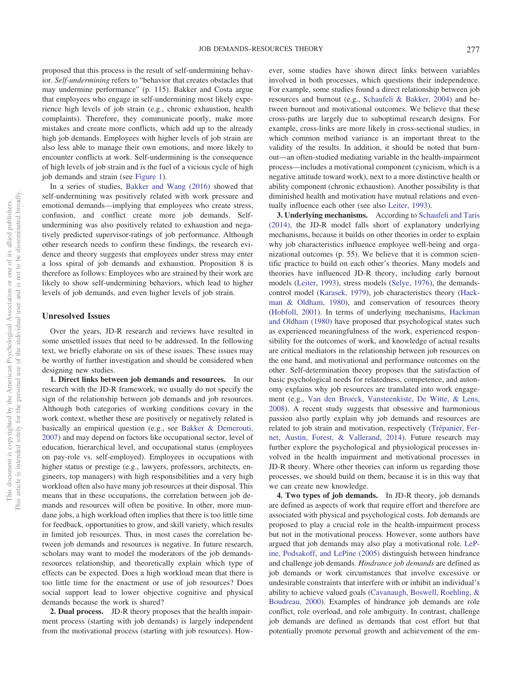proposed that this process is the result of self-undermining behavior. *Self-undermining* refers to "behavior that creates obstacles that may undermine performance" (p. 115). Bakker and Costa argue that employees who engage in self-undermining most likely experience high levels of job strain (e.g., chronic exhaustion, health complaints). Therefore, they communicate poorly, make more mistakes and create more conflicts, which add up to the already high job demands. Employees with higher levels of job strain are also less able to manage their own emotions, and more likely to encounter conflicts at work. Self-undermining is the consequence of high levels of job strain and is the fuel of a vicious cycle of high job demands and strain (see [Figure 1\)](#page-2-0).

In a series of studies, [Bakker and Wang \(2016\)](#page-9-14) showed that self-undermining was positively related with work pressure and emotional demands—implying that employees who create stress, confusion, and conflict create more job demands. Selfundermining was also positively related to exhaustion and negatively predicted supervisor-ratings of job performance. Although other research needs to confirm these findings, the research evidence and theory suggests that employees under stress may enter a loss spiral of job demands and exhaustion. Proposition 8 is therefore as follows: Employees who are strained by their work are likely to show self-undermining behaviors, which lead to higher levels of job demands, and even higher levels of job strain.

#### **Unresolved Issues**

Over the years, JD-R research and reviews have resulted in some unsettled issues that need to be addressed. In the following text, we briefly elaborate on six of these issues. These issues may be worthy of further investigation and should be considered when designing new studies.

**1. Direct links between job demands and resources.** In our research with the JD-R framework, we usually do not specify the sign of the relationship between job demands and job resources. Although both categories of working conditions covary in the work context, whether these are positively or negatively related is basically an empirical question (e.g., see [Bakker & Demerouti,](#page-9-4) [2007\)](#page-9-4) and may depend on factors like occupational sector, level of education, hierarchical level, and occupational status (employees on pay-role vs. self-employed). Employees in occupations with higher status or prestige (e.g., lawyers, professors, architects, engineers, top managers) with high responsibilities and a very high workload often also have many job resources at their disposal. This means that in these occupations, the correlation between job demands and resources will often be positive. In other, more mundane jobs, a high workload often implies that there is too little time for feedback, opportunities to grow, and skill variety, which results in limited job resources. Thus, in most cases the correlation between job demands and resources is negative. In future research, scholars may want to model the moderators of the job demandsresources relationship, and theoretically explain which type of effects can be expected. Does a high workload mean that there is too little time for the enactment or use of job resources? Does social support lead to lower objective cognitive and physical demands because the work is shared?

**2. Dual process.** JD-R theory proposes that the health impairment process (starting with job demands) is largely independent from the motivational process (starting with job resources). However, some studies have shown direct links between variables involved in both processes, which questions their independence. For example, some studies found a direct relationship between job resources and burnout (e.g., [Schaufeli & Bakker, 2004\)](#page-11-12) and between burnout and motivational outcomes. We believe that these cross-paths are largely due to suboptimal research designs. For example, cross-links are more likely in cross-sectional studies, in which common method variance is an important threat to the validity of the results. In addition, it should be noted that burnout—an often-studied mediating variable in the health-impairment process—includes a motivational component (cynicism, which is a negative attitude toward work), next to a more distinctive health or ability component (chronic exhaustion). Another possibility is that diminished health and motivation have mutual relations and eventually influence each other (see also [Leiter, 1993\)](#page-11-13).

**3. Underlying mechanisms.** According to [Schaufeli and Taris](#page-11-14) [\(2014\),](#page-11-14) the JD-R model falls short of explanatory underlying mechanisms, because it builds on other theories in order to explain why job characteristics influence employee well-being and organizational outcomes (p. 55). We believe that it is common scientific practice to build on each other's theories. Many models and theories have influenced JD-R theory, including early burnout models [\(Leiter, 1993\)](#page-11-13), stress models [\(Selye, 1976\)](#page-11-15), the demandscontrol model [\(Karasek, 1979\)](#page-11-6), job characteristics theory [\(Hack](#page-10-9)[man & Oldham, 1980\)](#page-10-9), and conservation of resources theory [\(Hobfoll, 2001\)](#page-10-5). In terms of underlying mechanisms, [Hackman](#page-10-9) [and Oldham \(1980\)](#page-10-9) have proposed that psychological states such as experienced meaningfulness of the work, experienced responsibility for the outcomes of work, and knowledge of actual results are critical mediators in the relationship between job resources on the one hand, and motivational and performance outcomes on the other. Self-determination theory proposes that the satisfaction of basic psychological needs for relatedness, competence, and autonomy explains why job resources are translated into work engagement (e.g., [Van den Broeck, Vansteenkiste, De Witte, & Lens,](#page-12-10) [2008\)](#page-12-10). A recent study suggests that obsessive and harmonious passion also partly explain why job demands and resources are related to job strain and motivation, respectively [\(Trépanier, Fer](#page-12-11)[net, Austin, Forest, & Vallerand, 2014\)](#page-12-11). Future research may further explore the psychological and physiological processes involved in the health impairment and motivational processes in JD-R theory. Where other theories can inform us regarding those processes, we should build on them, because it is in this way that we can create new knowledge.

**4. Two types of job demands.** In JD-R theory, job demands are defined as aspects of work that require effort and therefore are associated with physical and psychological costs. Job demands are proposed to play a crucial role in the health-impairment process but not in the motivational process. However, some authors have argued that job demands may also play a motivational role. [LeP](#page-11-16)[ine, Podsakoff, and LePine \(2005\)](#page-11-16) distinguish between hindrance and challenge job demands. *Hindrance job demands* are defined as job demands or work circumstances that involve excessive or undesirable constraints that interfere with or inhibit an individual's ability to achieve valued goals [\(Cavanaugh, Boswell, Roehling, &](#page-10-15) [Boudreau, 2000\)](#page-10-15). Examples of hindrance job demands are role conflict, role overload, and role ambiguity. In contrast, challenge job demands are defined as demands that cost effort but that potentially promote personal growth and achievement of the em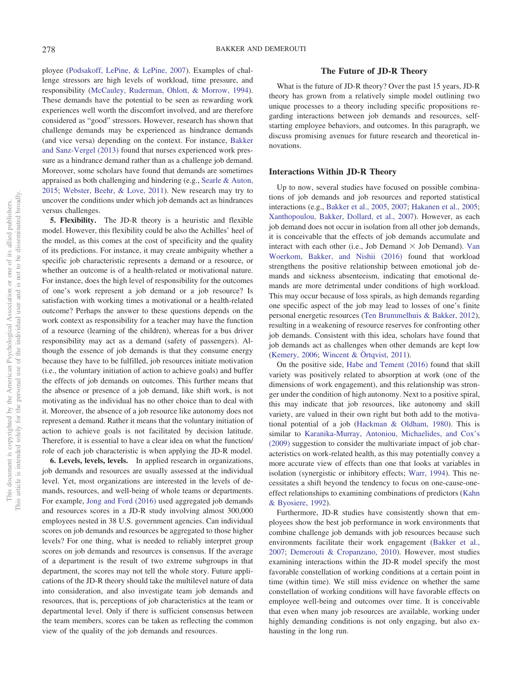ployee [\(Podsakoff, LePine, & LePine, 2007\)](#page-11-17). Examples of challenge stressors are high levels of workload, time pressure, and responsibility [\(McCauley, Ruderman, Ohlott, & Morrow, 1994\)](#page-11-18). These demands have the potential to be seen as rewarding work experiences well worth the discomfort involved, and are therefore considered as "good" stressors. However, research has shown that challenge demands may be experienced as hindrance demands (and vice versa) depending on the context. For instance, [Bakker](#page-9-9) [and Sanz-Vergel \(2013\)](#page-9-9) found that nurses experienced work pressure as a hindrance demand rather than as a challenge job demand. Moreover, some scholars have found that demands are sometimes appraised as both challenging and hindering (e.g., [Searle & Auton,](#page-11-19) [2015;](#page-11-19) [Webster, Beehr, & Love, 2011\)](#page-12-12). New research may try to uncover the conditions under which job demands act as hindrances versus challenges.

**5. Flexibility.** The JD-R theory is a heuristic and flexible model. However, this flexibility could be also the Achilles' heel of the model, as this comes at the cost of specificity and the quality of its predictions. For instance, it may create ambiguity whether a specific job characteristic represents a demand or a resource, or whether an outcome is of a health-related or motivational nature. For instance, does the high level of responsibility for the outcomes of one's work represent a job demand or a job resource? Is satisfaction with working times a motivational or a health-related outcome? Perhaps the answer to these questions depends on the work context as responsibility for a teacher may have the function of a resource (learning of the children), whereas for a bus driver responsibility may act as a demand (safety of passengers). Although the essence of job demands is that they consume energy because they have to be fulfilled, job resources initiate motivation (i.e., the voluntary initiation of action to achieve goals) and buffer the effects of job demands on outcomes. This further means that the absence or presence of a job demand, like shift work, is not motivating as the individual has no other choice than to deal with it. Moreover, the absence of a job resource like autonomy does not represent a demand. Rather it means that the voluntary initiation of action to achieve goals is not facilitated by decision latitude. Therefore, it is essential to have a clear idea on what the function/ role of each job characteristic is when applying the JD-R model.

**6. Levels, levels, levels.** In applied research in organizations, job demands and resources are usually assessed at the individual level. Yet, most organizations are interested in the levels of demands, resources, and well-being of whole teams or departments. For example, [Jong and Ford \(2016\)](#page-11-20) used aggregated job demands and resources scores in a JD-R study involving almost 300,000 employees nested in 38 U.S. government agencies. Can individual scores on job demands and resources be aggregated to those higher levels? For one thing, what is needed to reliably interpret group scores on job demands and resources is consensus. If the average of a department is the result of two extreme subgroups in that department, the scores may not tell the whole story. Future applications of the JD-R theory should take the multilevel nature of data into consideration, and also investigate team job demands and resources, that is, perceptions of job characteristics at the team or departmental level. Only if there is sufficient consensus between the team members, scores can be taken as reflecting the common view of the quality of the job demands and resources.

#### **The Future of JD-R Theory**

What is the future of JD-R theory? Over the past 15 years, JD-R theory has grown from a relatively simple model outlining two unique processes to a theory including specific propositions regarding interactions between job demands and resources, selfstarting employee behaviors, and outcomes. In this paragraph, we discuss promising avenues for future research and theoretical innovations.

## **Interactions Within JD-R Theory**

Up to now, several studies have focused on possible combinations of job demands and job resources and reported statistical interactions (e.g., [Bakker et al., 2005,](#page-9-0) [2007;](#page-9-4) [Hakanen et al., 2005;](#page-10-6) [Xanthopoulou, Bakker, Dollard, et al., 2007\)](#page-12-0). However, as each job demand does not occur in isolation from all other job demands, it is conceivable that the effects of job demands accumulate and interact with each other (i.e., Job Demand  $\times$  Job Demand). [Van](#page-12-13) [Woerkom, Bakker, and Nishii \(2016\)](#page-12-13) found that workload strengthens the positive relationship between emotional job demands and sickness absenteeism, indicating that emotional demands are more detrimental under conditions of high workload. This may occur because of loss spirals, as high demands regarding one specific aspect of the job may lead to losses of one's finite personal energetic resources [\(Ten Brummelhuis & Bakker, 2012\)](#page-12-14), resulting in a weakening of resource reserves for confronting other job demands. Consistent with this idea, scholars have found that job demands act as challenges when other demands are kept low [\(Kemery, 2006;](#page-11-21) [Wincent & Örtqvist, 2011\)](#page-12-15).

On the positive side, [Habe and Tement \(2016\)](#page-10-16) found that skill variety was positively related to absorption at work (one of the dimensions of work engagement), and this relationship was stronger under the condition of high autonomy. Next to a positive spiral, this may indicate that job resources, like autonomy and skill variety, are valued in their own right but both add to the motivational potential of a job [\(Hackman & Oldham, 1980\)](#page-10-9). This is similar to [Karanika-Murray, Antoniou, Michaelides, and Cox's](#page-11-22) [\(2009\)](#page-11-22) suggestion to consider the multivariate impact of job characteristics on work-related health, as this may potentially convey a more accurate view of effects than one that looks at variables in isolation (synergistic or inhibitory effects; [Warr, 1994\)](#page-12-16). This necessitates a shift beyond the tendency to focus on one-cause-oneeffect relationships to examining combinations of predictors [\(Kahn](#page-11-23) [& Byosiere, 1992\)](#page-11-23).

Furthermore, JD-R studies have consistently shown that employees show the best job performance in work environments that combine challenge job demands with job resources because such environments facilitate their work engagement [\(Bakker et al.,](#page-9-4) [2007;](#page-9-4) [Demerouti & Cropanzano, 2010\)](#page-10-17). However, most studies examining interactions within the JD-R model specify the most favorable constellation of working conditions at a certain point in time (within time). We still miss evidence on whether the same constellation of working conditions will have favorable effects on employee well-being and outcomes over time. It is conceivable that even when many job resources are available, working under highly demanding conditions is not only engaging, but also exhausting in the long run.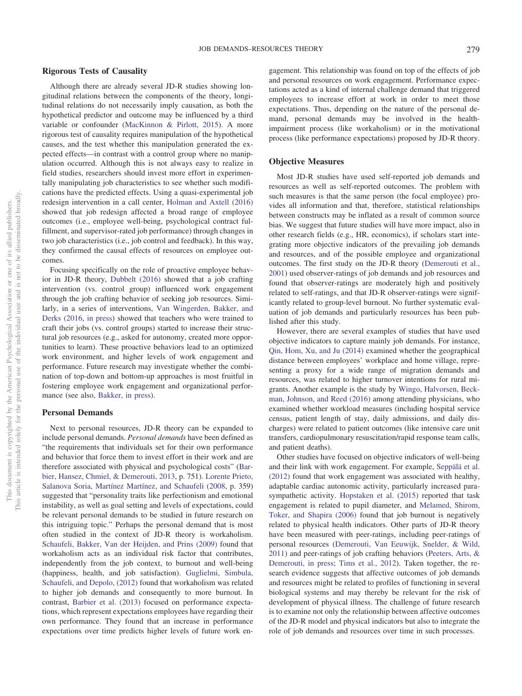## **Rigorous Tests of Causality**

Although there are already several JD-R studies showing longitudinal relations between the components of the theory, longitudinal relations do not necessarily imply causation, as both the hypothetical predictor and outcome may be influenced by a third variable or confounder [\(MacKinnon & Pirlott, 2015\)](#page-11-24). A more rigorous test of causality requires manipulation of the hypothetical causes, and the test whether this manipulation generated the expected effects—in contrast with a control group where no manipulation occurred. Although this is not always easy to realize in field studies, researchers should invest more effort in experimentally manipulating job characteristics to see whether such modifications have the predicted effects. Using a quasi-experimental job redesign intervention in a call center, [Holman and Axtell \(2016\)](#page-10-18) showed that job redesign affected a broad range of employee outcomes (i.e., employee well-being, psychological contract fulfillment, and supervisor-rated job performance) through changes in two job characteristics (i.e., job control and feedback). In this way, they confirmed the causal effects of resources on employee outcomes.

Focusing specifically on the role of proactive employee behavior in JD-R theory, [Dubbelt \(2016\)](#page-10-19) showed that a job crafting intervention (vs. control group) influenced work engagement through the job crafting behavior of seeking job resources. Similarly, in a series of interventions, [Van Wingerden, Bakker, and](#page-12-17) [Derks \(2016,](#page-12-17) [in press\)](#page-12-18) showed that teachers who were trained to craft their jobs (vs. control groups) started to increase their structural job resources (e.g., asked for autonomy, created more opportunities to learn). These proactive behaviors lead to an optimized work environment, and higher levels of work engagement and performance. Future research may investigate whether the combination of top-down and bottom-up approaches is most fruitful in fostering employee work engagement and organizational performance (see also, [Bakker, in press\)](#page-9-15).

## **Personal Demands**

Next to personal resources, JD-R theory can be expanded to include personal demands. *Personal demands* have been defined as "the requirements that individuals set for their own performance and behavior that force them to invest effort in their work and are therefore associated with physical and psychological costs" [\(Bar](#page-9-16)[bier, Hansez, Chmiel, & Demerouti, 2013,](#page-9-16) p. 751). [Lorente Prieto,](#page-11-25) [Salanova Soria, Martínez Martínez, and Schaufeli \(2008,](#page-11-25) p. 359) suggested that "personality traits like perfectionism and emotional instability, as well as goal setting and levels of expectations, could be relevant personal demands to be studied in future research on this intriguing topic." Perhaps the personal demand that is most often studied in the context of JD-R theory is workaholism. [Schaufeli, Bakker, Van der Heijden, and Prins \(2009\)](#page-11-26) found that workaholism acts as an individual risk factor that contributes, independently from the job context, to burnout and well-being (happiness, health, and job satisfaction). [Guglielmi, Simbula,](#page-10-20) [Schaufeli, and Depolo, \(2012\)](#page-10-20) found that workaholism was related to higher job demands and consequently to more burnout. In contrast, [Barbier et al. \(2013\)](#page-9-16) focused on performance expectations, which represent expectations employees have regarding their own performance. They found that an increase in performance expectations over time predicts higher levels of future work engagement. This relationship was found on top of the effects of job and personal resources on work engagement. Performance expectations acted as a kind of internal challenge demand that triggered employees to increase effort at work in order to meet those expectations. Thus, depending on the nature of the personal demand, personal demands may be involved in the healthimpairment process (like workaholism) or in the motivational process (like performance expectations) proposed by JD-R theory.

#### **Objective Measures**

Most JD-R studies have used self-reported job demands and resources as well as self-reported outcomes. The problem with such measures is that the same person (the focal employee) provides all information and that, therefore, statistical relationships between constructs may be inflated as a result of common source bias. We suggest that future studies will have more impact, also in other research fields (e.g., HR, economics), if scholars start integrating more objective indicators of the prevailing job demands and resources, and of the possible employee and organizational outcomes. The first study on the JD-R theory [\(Demerouti et al.,](#page-10-0) [2001\)](#page-10-0) used observer-ratings of job demands and job resources and found that observer-ratings are moderately high and positively related to self-ratings, and that JD-R observer-ratings were significantly related to group-level burnout. No further systematic evaluation of job demands and particularly resources has been published after this study.

However, there are several examples of studies that have used objective indicators to capture mainly job demands. For instance, [Qin, Hom, Xu, and Ju \(2014\)](#page-11-27) examined whether the geographical distance between employees' workplace and home village, representing a proxy for a wide range of migration demands and resources, was related to higher turnover intentions for rural migrants. Another example is the study by [Wingo, Halvorsen, Beck](#page-12-19)[man, Johnson, and Reed \(2016\)](#page-12-19) among attending physicians, who examined whether workload measures (including hospital service census, patient length of stay, daily admissions, and daily discharges) were related to patient outcomes (like intensive care unit transfers, cardiopulmonary resuscitation/rapid response team calls, and patient deaths).

Other studies have focused on objective indicators of well-being and their link with work engagement. For example, [Seppälä et al.](#page-11-28) [\(2012\)](#page-11-28) found that work engagement was associated with healthy, adaptable cardiac autonomic activity, particularly increased parasympathetic activity. [Hopstaken et al. \(2015\)](#page-10-7) reported that task engagement is related to pupil diameter, and [Melamed, Shirom,](#page-11-29) [Toker, and Shapira \(2006\)](#page-11-29) found that job burnout is negatively related to physical health indicators. Other parts of JD-R theory have been measured with peer-ratings, including peer-ratings of personal resources [\(Demerouti, Van Eeuwijk, Snelder, & Wild,](#page-10-21) [2011\)](#page-10-21) and peer-ratings of job crafting behaviors [\(Peeters, Arts, &](#page-11-30) [Demerouti, in press;](#page-11-30) [Tims et al., 2012\)](#page-12-5). Taken together, the research evidence suggests that affective outcomes of job demands and resources might be related to profiles of functioning in several biological systems and may thereby be relevant for the risk of development of physical illness. The challenge of future research is to examine not only the relationship between affective outcomes of the JD-R model and physical indicators but also to integrate the role of job demands and resources over time in such processes.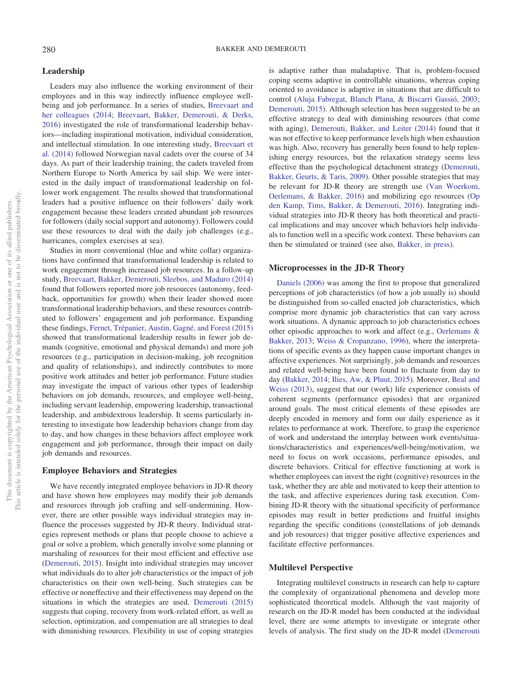#### **Leadership**

Leaders may also influence the working environment of their employees and in this way indirectly influence employee wellbeing and job performance. In a series of studies, [Breevaart and](#page-9-17) [her colleagues \(2014;](#page-9-17) [Breevaart, Bakker, Demerouti, & Derks,](#page-10-22) [2016\)](#page-10-22) investigated the role of transformational leadership behaviors—including inspirational motivation, individual consideration, and intellectual stimulation. In one interesting study, [Breevaart et](#page-10-23) [al. \(2014\)](#page-10-23) followed Norwegian naval cadets over the course of 34 days. As part of their leadership training, the cadets traveled from Northern Europe to North America by sail ship. We were interested in the daily impact of transformational leadership on follower work engagement. The results showed that transformational leaders had a positive influence on their followers' daily work engagement because these leaders created abundant job resources for followers (daily social support and autonomy). Followers could use these resources to deal with the daily job challenges (e.g., hurricanes, complex exercises at sea).

Studies in more conventional (blue and white collar) organizations have confirmed that transformational leadership is related to work engagement through increased job resources. In a follow-up study, [Breevaart, Bakker, Demerouti, Sleebos, and Maduro \(2014\)](#page-10-23) found that followers reported more job resources (autonomy, feedback, opportunities for growth) when their leader showed more transformational leadership behaviors, and these resources contributed to followers' engagement and job performance. Expanding these findings, [Fernet, Trépanier, Austin, Gagné, and Forest \(2015\)](#page-10-24) showed that transformational leadership results in fewer job demands (cognitive, emotional and physical demands) and more job resources (e.g., participation in decision-making, job recognition and quality of relationships), and indirectly contributes to more positive work attitudes and better job performance. Future studies may investigate the impact of various other types of leadership behaviors on job demands, resources, and employee well-being, including servant leadership, empowering leadership, transactional leadership, and ambidextrous leadership. It seems particularly interesting to investigate how leadership behaviors change from day to day, and how changes in these behaviors affect employee work engagement and job performance, through their impact on daily job demands and resources.

#### **Employee Behaviors and Strategies**

We have recently integrated employee behaviors in JD-R theory and have shown how employees may modify their job demands and resources through job crafting and self-undermining. However, there are other possible ways individual strategies may influence the processes suggested by JD-R theory. Individual strategies represent methods or plans that people choose to achieve a goal or solve a problem, which generally involve some planning or marshaling of resources for their most efficient and effective use [\(Demerouti, 2015\)](#page-10-25). Insight into individual strategies may uncover what individuals do to alter job characteristics or the impact of job characteristics on their own well-being. Such strategies can be effective or noneffective and their effectiveness may depend on the situations in which the strategies are used. [Demerouti \(2015\)](#page-10-25) suggests that coping, recovery from work-related effort, as well as selection, optimization, and compensation are all strategies to deal with diminishing resources. Flexibility in use of coping strategies is adaptive rather than maladaptive. That is, problem-focused coping seems adaptive in controllable situations, whereas coping oriented to avoidance is adaptive in situations that are difficult to control [\(Aluja Fabregat, Blanch Plana, & Biscarri Gassió, 2003;](#page-9-18) [Demerouti, 2015\)](#page-10-25). Although selection has been suggested to be an effective strategy to deal with diminishing resources (that come with aging), [Demerouti, Bakker, and Leiter \(2014\)](#page-10-26) found that it was not effective to keep performance levels high when exhaustion was high. Also, recovery has generally been found to help replenishing energy resources, but the relaxation strategy seems less effective than the psychological detachment strategy [\(Demerouti,](#page-10-27) [Bakker, Geurts, & Taris, 2009\)](#page-10-27). Other possible strategies that may be relevant for JD-R theory are strength use [\(Van Woerkom,](#page-12-20) [Oerlemans, & Bakker, 2016\)](#page-12-20) and mobilizing ego resources [\(Op](#page-11-31) [den Kamp, Tims, Bakker, & Demerouti, 2016\)](#page-11-31). Integrating individual strategies into JD-R theory has both theoretical and practical implications and may uncover which behaviors help individuals to function well in a specific work context. These behaviors can then be stimulated or trained (see also, [Bakker, in press\)](#page-9-15).

#### **Microprocesses in the JD-R Theory**

[Daniels \(2006\)](#page-10-28) was among the first to propose that generalized perceptions of job characteristics (of how a job usually is) should be distinguished from so-called enacted job characteristics, which comprise more dynamic job characteristics that can vary across work situations. A dynamic approach to job characteristics echoes other episodic approaches to work and affect (e.g., [Oerlemans &](#page-11-32) [Bakker, 2013;](#page-11-32) [Weiss & Cropanzano, 1996\)](#page-12-21), where the interpretations of specific events as they happen cause important changes in affective experiences. Not surprisingly, job demands and resources and related well-being have been found to fluctuate from day to day [\(Bakker, 2014;](#page-9-19) [Ilies, Aw, & Pluut, 2015\)](#page-11-33). Moreover, [Beal and](#page-9-20) [Weiss \(2013\),](#page-9-20) suggest that our (work) life experience consists of coherent segments (performance episodes) that are organized around goals. The most critical elements of these episodes are deeply encoded in memory and form our daily experience as it relates to performance at work. Therefore, to grasp the experience of work and understand the interplay between work events/situations/characteristics and experiences/well-being/motivation, we need to focus on work occasions, performance episodes, and discrete behaviors. Critical for effective functioning at work is whether employees can invest the right (cognitive) resources in the task, whether they are able and motivated to keep their attention to the task, and affective experiences during task execution. Combining JD-R theory with the situational specificity of performance episodes may result in better predictions and fruitful insights regarding the specific conditions (constellations of job demands and job resources) that trigger positive affective experiences and facilitate effective performances.

#### **Multilevel Perspective**

Integrating multilevel constructs in research can help to capture the complexity of organizational phenomena and develop more sophisticated theoretical models. Although the vast majority of research on the JD-R model has been conducted at the individual level, there are some attempts to investigate or integrate other levels of analysis. The first study on the JD-R model [\(Demerouti](#page-10-0)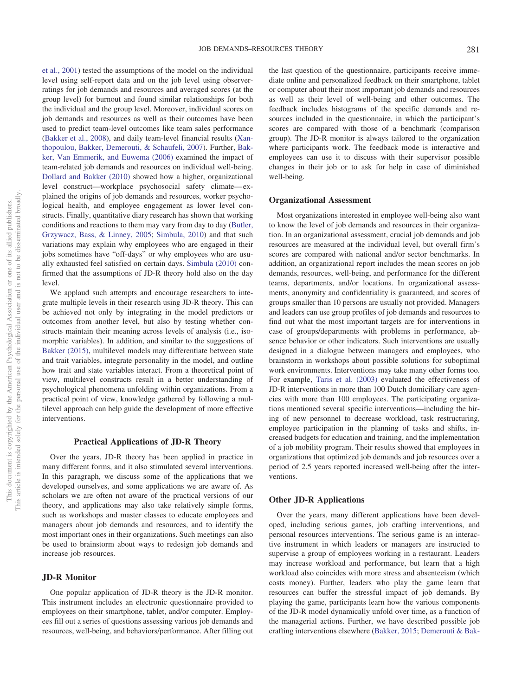[et al., 2001\)](#page-10-0) tested the assumptions of the model on the individual level using self-report data and on the job level using observerratings for job demands and resources and averaged scores (at the group level) for burnout and found similar relationships for both the individual and the group level. Moreover, individual scores on job demands and resources as well as their outcomes have been used to predict team-level outcomes like team sales performance [\(Bakker et al., 2008\)](#page-9-10), and daily team-level financial results [\(Xan](#page-12-22)[thopoulou, Bakker, Demerouti, & Schaufeli, 2007\)](#page-12-22). Further, [Bak](#page-9-21)[ker, Van Emmerik, and Euwema \(2006\)](#page-9-21) examined the impact of team-related job demands and resources on individual well-being. [Dollard and Bakker \(2010\)](#page-10-29) showed how a higher, organizational level construct—workplace psychosocial safety climate— explained the origins of job demands and resources, worker psychological health, and employee engagement as lower level constructs. Finally, quantitative diary research has shown that working conditions and reactions to them may vary from day to day [\(Butler,](#page-10-30) [Grzywacz, Bass, & Linney, 2005;](#page-10-30) [Simbula, 2010\)](#page-11-5) and that such variations may explain why employees who are engaged in their jobs sometimes have "off-days" or why employees who are usually exhausted feel satisfied on certain days. [Simbula \(2010\)](#page-11-5) confirmed that the assumptions of JD-R theory hold also on the day level.

We applaud such attempts and encourage researchers to integrate multiple levels in their research using JD-R theory. This can be achieved not only by integrating in the model predictors or outcomes from another level, but also by testing whether constructs maintain their meaning across levels of analysis (i.e., isomorphic variables). In addition, and similar to the suggestions of [Bakker \(2015\),](#page-9-22) multilevel models may differentiate between state and trait variables, integrate personality in the model, and outline how trait and state variables interact. From a theoretical point of view, multilevel constructs result in a better understanding of psychological phenomena unfolding within organizations. From a practical point of view, knowledge gathered by following a multilevel approach can help guide the development of more effective interventions.

#### **Practical Applications of JD-R Theory**

Over the years, JD-R theory has been applied in practice in many different forms, and it also stimulated several interventions. In this paragraph, we discuss some of the applications that we developed ourselves, and some applications we are aware of. As scholars we are often not aware of the practical versions of our theory, and applications may also take relatively simple forms, such as workshops and master classes to educate employees and managers about job demands and resources, and to identify the most important ones in their organizations. Such meetings can also be used to brainstorm about ways to redesign job demands and increase job resources.

#### **JD-R Monitor**

One popular application of JD-R theory is the JD-R monitor. This instrument includes an electronic questionnaire provided to employees on their smartphone, tablet, and/or computer. Employees fill out a series of questions assessing various job demands and resources, well-being, and behaviors/performance. After filling out the last question of the questionnaire, participants receive immediate online and personalized feedback on their smartphone, tablet or computer about their most important job demands and resources as well as their level of well-being and other outcomes. The feedback includes histograms of the specific demands and resources included in the questionnaire, in which the participant's scores are compared with those of a benchmark (comparison group). The JD-R monitor is always tailored to the organization where participants work. The feedback mode is interactive and employees can use it to discuss with their supervisor possible changes in their job or to ask for help in case of diminished well-being.

## **Organizational Assessment**

Most organizations interested in employee well-being also want to know the level of job demands and resources in their organization. In an organizational assessment, crucial job demands and job resources are measured at the individual level, but overall firm's scores are compared with national and/or sector benchmarks. In addition, an organizational report includes the mean scores on job demands, resources, well-being, and performance for the different teams, departments, and/or locations. In organizational assessments, anonymity and confidentiality is guaranteed, and scores of groups smaller than 10 persons are usually not provided. Managers and leaders can use group profiles of job demands and resources to find out what the most important targets are for interventions in case of groups/departments with problems in performance, absence behavior or other indicators. Such interventions are usually designed in a dialogue between managers and employees, who brainstorm in workshops about possible solutions for suboptimal work environments. Interventions may take many other forms too. For example, [Taris et al. \(2003\)](#page-11-34) evaluated the effectiveness of JD-R interventions in more than 100 Dutch domiciliary care agencies with more than 100 employees. The participating organizations mentioned several specific interventions—including the hiring of new personnel to decrease workload, task restructuring, employee participation in the planning of tasks and shifts, increased budgets for education and training, and the implementation of a job mobility program. Their results showed that employees in organizations that optimized job demands and job resources over a period of 2.5 years reported increased well-being after the interventions.

#### **Other JD-R Applications**

Over the years, many different applications have been developed, including serious games, job crafting interventions, and personal resources interventions. The serious game is an interactive instrument in which leaders or managers are instructed to supervise a group of employees working in a restaurant. Leaders may increase workload and performance, but learn that a high workload also coincides with more stress and absenteeism (which costs money). Further, leaders who play the game learn that resources can buffer the stressful impact of job demands. By playing the game, participants learn how the various components of the JD-R model dynamically unfold over time, as a function of the managerial actions. Further, we have described possible job crafting interventions elsewhere [\(Bakker, 2015;](#page-9-22) [Demerouti & Bak-](#page-10-12)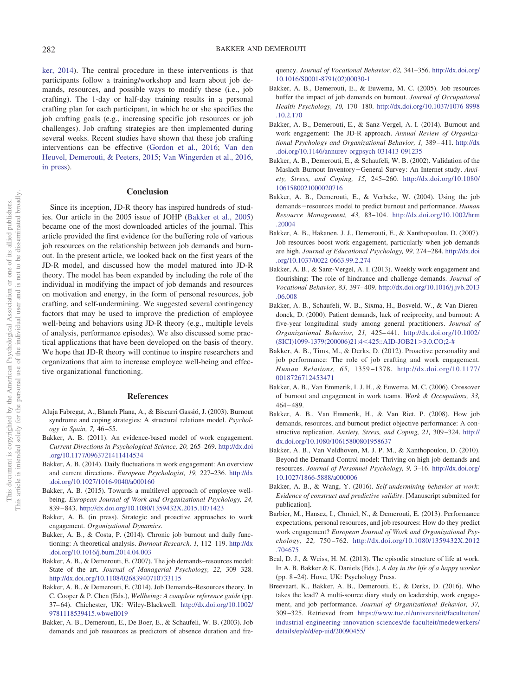[ker, 2014\)](#page-10-12). The central procedure in these interventions is that participants follow a training/workshop and learn about job demands, resources, and possible ways to modify these (i.e., job crafting). The 1-day or half-day training results in a personal crafting plan for each participant, in which he or she specifies the job crafting goals (e.g., increasing specific job resources or job challenges). Job crafting strategies are then implemented during several weeks. Recent studies have shown that these job crafting interventions can be effective [\(Gordon et al., 2016;](#page-10-31) [Van den](#page-12-23) [Heuvel, Demerouti, & Peeters, 2015;](#page-12-23) [Van Wingerden et al., 2016,](#page-12-17) [in press\)](#page-12-18).

#### **Conclusion**

Since its inception, JD-R theory has inspired hundreds of studies. Our article in the 2005 issue of JOHP [\(Bakker et al., 2005\)](#page-9-0) became one of the most downloaded articles of the journal. This article provided the first evidence for the buffering role of various job resources on the relationship between job demands and burnout. In the present article, we looked back on the first years of the JD-R model, and discussed how the model matured into JD-R theory. The model has been expanded by including the role of the individual in modifying the impact of job demands and resources on motivation and energy, in the form of personal resources, job crafting, and self-undermining. We suggested several contingency factors that may be used to improve the prediction of employee well-being and behaviors using JD-R theory (e.g., multiple levels of analysis, performance episodes). We also discussed some practical applications that have been developed on the basis of theory. We hope that JD-R theory will continue to inspire researchers and organizations that aim to increase employee well-being and effective organizational functioning.

## **References**

- <span id="page-9-18"></span>Aluja Fabregat, A., Blanch Plana, A., & Biscarri Gassió, J. (2003). Burnout syndrome and coping strategies: A structural relations model. *Psychology in Spain, 7,* 46 –55.
- <span id="page-9-3"></span>Bakker, A. B. (2011). An evidence-based model of work engagement. *Current Directions in Psychological Science, 20,* 265–269. [http://dx.doi](http://dx.doi.org/10.1177/0963721411414534) [.org/10.1177/0963721411414534](http://dx.doi.org/10.1177/0963721411414534)
- <span id="page-9-19"></span>Bakker, A. B. (2014). Daily fluctuations in work engagement: An overview and current directions. *European Psychologist, 19,* 227–236. [http://dx](http://dx.doi.org/10.1027/1016-9040/a000160) [.doi.org/10.1027/1016-9040/a000160](http://dx.doi.org/10.1027/1016-9040/a000160)
- <span id="page-9-22"></span>Bakker, A. B. (2015). Towards a multilevel approach of employee wellbeing. *European Journal of Work and Organizational Psychology, 24,* 839 – 843. <http://dx.doi.org/10.1080/1359432X.2015.1071423>
- <span id="page-9-15"></span>Bakker, A. B. (in press). Strategic and proactive approaches to work engagement. *Organizational Dynamics*.
- <span id="page-9-7"></span>Bakker, A. B., & Costa, P. (2014). Chronic job burnout and daily functioning: A theoretical analysis. *Burnout Research, 1,* 112–119. [http://dx](http://dx.doi.org/10.1016/j.burn.2014.04.003) [.doi.org/10.1016/j.burn.2014.04.003](http://dx.doi.org/10.1016/j.burn.2014.04.003)
- <span id="page-9-4"></span>Bakker, A. B., & Demerouti, E. (2007). The job demands–resources model: State of the art. *Journal of Managerial Psychology, 22,* 309 –328. <http://dx.doi.org/10.1108/02683940710733115>
- <span id="page-9-11"></span>Bakker, A. B., & Demerouti, E. (2014). Job Demands–Resources theory. In C. Cooper & P. Chen (Eds.), *Wellbeing: A complete reference guide* (pp. 37– 64). Chichester, UK: Wiley-Blackwell. [http://dx.doi.org/10.1002/](http://dx.doi.org/10.1002/9781118539415.wbwell019) [9781118539415.wbwell019](http://dx.doi.org/10.1002/9781118539415.wbwell019)
- <span id="page-9-5"></span>Bakker, A. B., Demerouti, E., De Boer, E., & Schaufeli, W. B. (2003). Job demands and job resources as predictors of absence duration and fre-

quency. *Journal of Vocational Behavior, 62,* 341–356. [http://dx.doi.org/](http://dx.doi.org/10.1016/S0001-8791%2802%2900030-1) [10.1016/S0001-8791\(02\)00030-1](http://dx.doi.org/10.1016/S0001-8791%2802%2900030-1)

- <span id="page-9-0"></span>Bakker, A. B., Demerouti, E., & Euwema, M. C. (2005). Job resources buffer the impact of job demands on burnout. *Journal of Occupational Health Psychology, 10,* 170 –180. [http://dx.doi.org/10.1037/1076-8998](http://dx.doi.org/10.1037/1076-8998.10.2.170) [.10.2.170](http://dx.doi.org/10.1037/1076-8998.10.2.170)
- <span id="page-9-1"></span>Bakker, A. B., Demerouti, E., & Sanz-Vergel, A. I. (2014). Burnout and work engagement: The JD-R approach. *Annual Review of Organizational Psychology and Organizational Behavior, 1,* 389 – 411. [http://dx](http://dx.doi.org/10.1146/annurev-orgpsych-031413-091235) [.doi.org/10.1146/annurev-orgpsych-031413-091235](http://dx.doi.org/10.1146/annurev-orgpsych-031413-091235)
- <span id="page-9-2"></span>Bakker, A. B., Demerouti, E., & Schaufeli, W. B. (2002). Validation of the Maslach Burnout Inventory-General Survey: An Internet study. *Anxiety, Stress, and Coping, 15,* 245–260. [http://dx.doi.org/10.1080/](http://dx.doi.org/10.1080/1061580021000020716) [1061580021000020716](http://dx.doi.org/10.1080/1061580021000020716)
- <span id="page-9-6"></span>Bakker, A. B., Demerouti, E., & Verbeke, W. (2004). Using the job demands-resources model to predict burnout and performance. Human *Resource Management, 43,* 83–104. [http://dx.doi.org/10.1002/hrm](http://dx.doi.org/10.1002/hrm.20004) [.20004](http://dx.doi.org/10.1002/hrm.20004)
- Bakker, A. B., Hakanen, J. J., Demerouti, E., & Xanthopoulou, D. (2007). Job resources boost work engagement, particularly when job demands are high. *Journal of Educational Psychology, 99,* 274 –284. [http://dx.doi](http://dx.doi.org/10.1037/0022-0663.99.2.274) [.org/10.1037/0022-0663.99.2.274](http://dx.doi.org/10.1037/0022-0663.99.2.274)
- <span id="page-9-9"></span>Bakker, A. B., & Sanz-Vergel, A. I. (2013). Weekly work engagement and flourishing: The role of hindrance and challenge demands. *Journal of Vocational Behavior, 83,* 397– 409. [http://dx.doi.org/10.1016/j.jvb.2013](http://dx.doi.org/10.1016/j.jvb.2013.06.008) [.06.008](http://dx.doi.org/10.1016/j.jvb.2013.06.008)
- <span id="page-9-13"></span>Bakker, A. B., Schaufeli, W. B., Sixma, H., Bosveld, W., & Van Dierendonck, D. (2000). Patient demands, lack of reciprocity, and burnout: A five-year longitudinal study among general practitioners. *Journal of Organizational Behavior, 21,* 425– 441. [http://dx.doi.org/10.1002/](http://dx.doi.org/10.1002/%28SICI%291099-1379%28200006%2921:4%3C425::AID-JOB21%3E3.0.CO;2-#) [\(SICI\)1099-1379\(200006\)21:4](http://dx.doi.org/10.1002/%28SICI%291099-1379%28200006%2921:4%3C425::AID-JOB21%3E3.0.CO;2-#)<425::AID-JOB21>3.0.CO;2-#
- <span id="page-9-12"></span>Bakker, A. B., Tims, M., & Derks, D. (2012). Proactive personality and job performance: The role of job crafting and work engagement. *Human Relations, 65,* 1359 –1378. [http://dx.doi.org/10.1177/](http://dx.doi.org/10.1177/0018726712453471) [0018726712453471](http://dx.doi.org/10.1177/0018726712453471)
- <span id="page-9-21"></span>Bakker, A. B., Van Emmerik, I. J. H., & Euwema, M. C. (2006). Crossover of burnout and engagement in work teams. *Work & Occupations, 33,*  $464 - 489.$
- <span id="page-9-10"></span>Bakker, A. B., Van Emmerik, H., & Van Riet, P. (2008). How job demands, resources, and burnout predict objective performance: A constructive replication. *Anxiety, Stress, and Coping, 21,* 309 –324. [http://](http://dx.doi.org/10.1080/10615800801958637) [dx.doi.org/10.1080/10615800801958637](http://dx.doi.org/10.1080/10615800801958637)
- <span id="page-9-8"></span>Bakker, A. B., Van Veldhoven, M. J. P. M., & Xanthopoulou, D. (2010). Beyond the Demand-Control model: Thriving on high job demands and resources. *Journal of Personnel Psychology, 9,* 3–16. [http://dx.doi.org/](http://dx.doi.org/10.1027/1866-5888/a000006) [10.1027/1866-5888/a000006](http://dx.doi.org/10.1027/1866-5888/a000006)
- <span id="page-9-14"></span>Bakker, A. B., & Wang, Y. (2016). *Self-undermining behavior at work: Evidence of construct and predictive validity*. [Manuscript submitted for publication].
- <span id="page-9-16"></span>Barbier, M., Hansez, I., Chmiel, N., & Demerouti, E. (2013). Performance expectations, personal resources, and job resources: How do they predict work engagement? *European Journal of Work and Organizational Psychology, 22,* 750 –762. [http://dx.doi.org/10.1080/1359432X.2012](http://dx.doi.org/10.1080/1359432X.2012.704675) [.704675](http://dx.doi.org/10.1080/1359432X.2012.704675)
- <span id="page-9-20"></span>Beal, D. J., & Weiss, H. M. (2013). The episodic structure of life at work. In A. B. Bakker & K. Daniels (Eds.), *A day in the life of a happy worker* (pp. 8 –24). Hove, UK: Psychology Press.
- <span id="page-9-17"></span>Breevaart, K., Bakker, A. B., Demerouti, E., & Derks, D. (2016). Who takes the lead? A multi-source diary study on leadership, work engagement, and job performance. *Journal of Organizational Behavior, 37,* 309 –325. Retrieved from [https://www.tue.nl/universiteit/faculteiten/](https://www.tue.nl/universiteit/faculteiten/industrial-engineering-innovation-sciences/de-faculteit/medewerkers/details/ep/e/d/ep-uid/20090455/) [industrial-engineering-innovation-sciences/de-faculteit/medewerkers/](https://www.tue.nl/universiteit/faculteiten/industrial-engineering-innovation-sciences/de-faculteit/medewerkers/details/ep/e/d/ep-uid/20090455/) [details/ep/e/d/ep-uid/20090455/](https://www.tue.nl/universiteit/faculteiten/industrial-engineering-innovation-sciences/de-faculteit/medewerkers/details/ep/e/d/ep-uid/20090455/)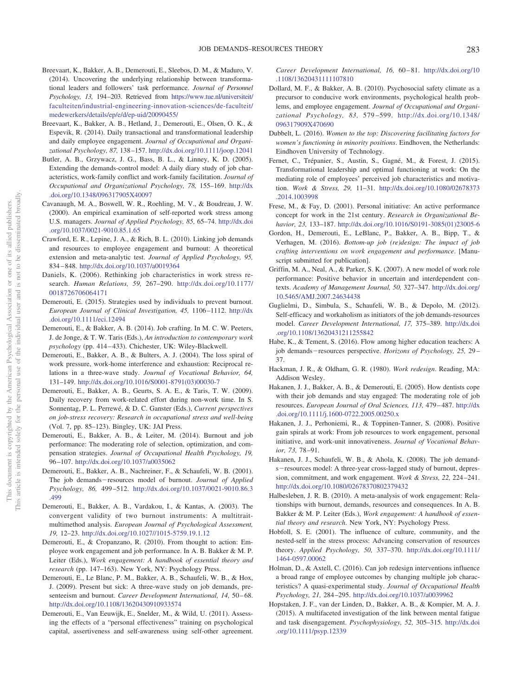- <span id="page-10-22"></span>Breevaart, K., Bakker, A. B., Demerouti, E., Sleebos, D. M., & Maduro, V. (2014). Uncovering the underlying relationship between transformational leaders and followers' task performance. *Journal of Personnel Psychology, 13,* 194–203. Retrieved from [https://www.tue.nl/universiteit/](https://www.tue.nl/universiteit/faculteiten/industrial-engineering-innovation-sciences/de-faculteit/medewerkers/details/ep/e/d/ep-uid/20090455/) [faculteiten/industrial-engineering-innovation-sciences/de-faculteit/](https://www.tue.nl/universiteit/faculteiten/industrial-engineering-innovation-sciences/de-faculteit/medewerkers/details/ep/e/d/ep-uid/20090455/) [medewerkers/details/ep/e/d/ep-uid/20090455/](https://www.tue.nl/universiteit/faculteiten/industrial-engineering-innovation-sciences/de-faculteit/medewerkers/details/ep/e/d/ep-uid/20090455/)
- <span id="page-10-23"></span>Breevaart, K., Bakker, A. B., Hetland, J., Demerouti, E., Olsen, O. K., & Espevik, R. (2014). Daily transactional and transformational leadership and daily employee engagement. *Journal of Occupational and Organizational Psychology, 87,* 138 –157. <http://dx.doi.org/10.1111/joop.12041>
- <span id="page-10-30"></span>Butler, A. B., Grzywacz, J. G., Bass, B. L., & Linney, K. D. (2005). Extending the demands-control model: A daily diary study of job characteristics, work-family conflict and work-family facilitation. *Journal of Occupational and Organizational Psychology, 78,* 155–169. [http://dx](http://dx.doi.org/10.1348/096317905X40097) [.doi.org/10.1348/096317905X40097](http://dx.doi.org/10.1348/096317905X40097)
- <span id="page-10-15"></span>Cavanaugh, M. A., Boswell, W. R., Roehling, M. V., & Boudreau, J. W. (2000). An empirical examination of self-reported work stress among U.S. managers. *Journal of Applied Psychology, 85,* 65–74. [http://dx.doi](http://dx.doi.org/10.1037/0021-9010.85.1.65) [.org/10.1037/0021-9010.85.1.65](http://dx.doi.org/10.1037/0021-9010.85.1.65)
- <span id="page-10-1"></span>Crawford, E. R., Lepine, J. A., & Rich, B. L. (2010). Linking job demands and resources to employee engagement and burnout: A theoretical extension and meta-analytic test. *Journal of Applied Psychology, 95,* 834 – 848. <http://dx.doi.org/10.1037/a0019364>
- <span id="page-10-28"></span>Daniels, K. (2006). Rethinking job characteristics in work stress research. *Human Relations, 59,* 267–290. [http://dx.doi.org/10.1177/](http://dx.doi.org/10.1177/0018726706064171) [0018726706064171](http://dx.doi.org/10.1177/0018726706064171)
- <span id="page-10-25"></span>Demerouti, E. (2015). Strategies used by individuals to prevent burnout. *European Journal of Clinical Investigation, 45,* 1106 –1112. [http://dx](http://dx.doi.org/10.1111/eci.12494) [.doi.org/10.1111/eci.12494](http://dx.doi.org/10.1111/eci.12494)
- <span id="page-10-12"></span>Demerouti, E., & Bakker, A. B. (2014). Job crafting. In M. C. W. Peeters, J. de Jonge, & T. W. Taris (Eds.), *An introduction to contemporary work psychology* (pp. 414 – 433). Chichester, UK: Wiley-Blackwell.
- <span id="page-10-13"></span>Demerouti, E., Bakker, A. B., & Bulters, A. J. (2004). The loss spiral of work pressure, work-home interference and exhaustion: Reciprocal relations in a three-wave study. *Journal of Vocational Behavior, 64,* 131–149. [http://dx.doi.org/10.1016/S0001-8791\(03\)00030-7](http://dx.doi.org/10.1016/S0001-8791%2803%2900030-7)
- <span id="page-10-27"></span>Demerouti, E., Bakker, A. B., Geurts, S. A. E., & Taris, T. W. (2009). Daily recovery from work-related effort during non-work time. In S. Sonnentag, P. L. Perrewé, & D. C. Ganster (Eds.), *Current perspectives on job-stress recovery: Research in occupational stress and well-being* (Vol. 7, pp. 85–123). Bingley, UK: JAI Press.
- <span id="page-10-26"></span>Demerouti, E., Bakker, A. B., & Leiter, M. (2014). Burnout and job performance: The moderating role of selection, optimization, and compensation strategies. *Journal of Occupational Health Psychology, 19,* 96 –107. <http://dx.doi.org/10.1037/a0035062>
- <span id="page-10-0"></span>Demerouti, E., Bakker, A. B., Nachreiner, F., & Schaufeli, W. B. (2001). The job demands-resources model of burnout. *Journal of Applied Psychology, 86,* 499 –512. [http://dx.doi.org/10.1037/0021-9010.86.3](http://dx.doi.org/10.1037/0021-9010.86.3.499) [.499](http://dx.doi.org/10.1037/0021-9010.86.3.499)
- <span id="page-10-3"></span>Demerouti, E., Bakker, A. B., Vardakou, I., & Kantas, A. (2003). The convergent validity of two burnout instruments: A multitraitmultimethod analysis. *European Journal of Psychological Assessment, 19,* 12–23. <http://dx.doi.org/10.1027//1015-5759.19.1.12>
- <span id="page-10-17"></span>Demerouti, E., & Cropanzano, R. (2010). From thought to action: Employee work engagement and job performance. In A. B. Bakker & M. P. Leiter (Eds.), *Work engagement: A handbook of essential theory and research* (pp. 147–163). New York, NY: Psychology Press.
- <span id="page-10-14"></span>Demerouti, E., Le Blanc, P. M., Bakker, A. B., Schaufeli, W. B., & Hox, J. (2009). Present but sick: A three-wave study on job demands, presenteeism and burnout. *Career Development International*, 14, 50-68. <http://dx.doi.org/10.1108/13620430910933574>
- <span id="page-10-21"></span>Demerouti, E., Van Eeuwijk, E., Snelder, M., & Wild, U. (2011). Assessing the effects of a "personal effectiveness" training on psychological capital, assertiveness and self-awareness using self-other agreement.

*Career Development International, 16,* 60 – 81. [http://dx.doi.org/10](http://dx.doi.org/10.1108/13620431111107810) [.1108/13620431111107810](http://dx.doi.org/10.1108/13620431111107810)

- <span id="page-10-29"></span>Dollard, M. F., & Bakker, A. B. (2010). Psychosocial safety climate as a precursor to conducive work environments, psychological health problems, and employee engagement. *Journal of Occupational and Organizational Psychology, 83,* 579 –599. [http://dx.doi.org/10.1348/](http://dx.doi.org/10.1348/096317909X470690) [096317909X470690](http://dx.doi.org/10.1348/096317909X470690)
- <span id="page-10-19"></span>Dubbelt, L. (2016). *Women to the top: Discovering facilitating factors for women's functioning in minority positions*. Eindhoven, the Netherlands: Eindhoven University of Technology.
- <span id="page-10-24"></span>Fernet, C., Trépanier, S., Austin, S., Gagné, M., & Forest, J. (2015). Transformational leadership and optimal functioning at work: On the mediating role of employees' perceived job characteristics and motivation. *Work & Stress, 29,* 11–31. [http://dx.doi.org/10.1080/02678373](http://dx.doi.org/10.1080/02678373.2014.1003998) [.2014.1003998](http://dx.doi.org/10.1080/02678373.2014.1003998)
- <span id="page-10-10"></span>Frese, M., & Fay, D. (2001). Personal initiative: An active performance concept for work in the 21st century. *Research in Organizational Behavior, 23,* 133–187. [http://dx.doi.org/10.1016/S0191-3085\(01\)23005-6](http://dx.doi.org/10.1016/S0191-3085%2801%2923005-6)
- <span id="page-10-31"></span>Gordon, H., Demerouti, E., LeBlanc, P., Bakker, A. B., Bipp, T., & Verhagen, M. (2016). *Bottom-up job (re)design: The impact of job crafting interventions on work engagement and performance*. [Manuscript submitted for publication].
- <span id="page-10-11"></span>Griffin, M. A., Neal, A., & Parker, S. K. (2007). A new model of work role performance: Positive behavior in uncertain and interdependent contexts. *Academy of Management Journal, 50,* 327–347. [http://dx.doi.org/](http://dx.doi.org/10.5465/AMJ.2007.24634438) [10.5465/AMJ.2007.24634438](http://dx.doi.org/10.5465/AMJ.2007.24634438)
- <span id="page-10-20"></span>Guglielmi, D., Simbula, S., Schaufeli, W. B., & Depolo, M. (2012). Self-efficacy and workaholism as initiators of the job demands-resources model. *Career Development International, 17,* 375–389. [http://dx.doi](http://dx.doi.org/10.1108/13620431211255842) [.org/10.1108/13620431211255842](http://dx.doi.org/10.1108/13620431211255842)
- <span id="page-10-16"></span>Habe, K., & Tement, S. (2016). Flow among higher education teachers: A job demands-resources perspective. *Horizons of Psychology, 25,* 29 – 37.
- <span id="page-10-9"></span>Hackman, J. R., & Oldham, G. R. (1980). *Work redesign*. Reading, MA: Addison Wesley.
- <span id="page-10-6"></span>Hakanen, J. J., Bakker, A. B., & Demerouti, E. (2005). How dentists cope with their job demands and stay engaged: The moderating role of job resources. *European Journal of Oral Sciences, 113,* 479 – 487. [http://dx](http://dx.doi.org/10.1111/j.1600-0722.2005.00250.x) [.doi.org/10.1111/j.1600-0722.2005.00250.x](http://dx.doi.org/10.1111/j.1600-0722.2005.00250.x)
- <span id="page-10-8"></span>Hakanen, J. J., Perhoniemi, R., & Toppinen-Tanner, S. (2008). Positive gain spirals at work: From job resources to work engagement, personal initiative, and work-unit innovativeness. *Journal of Vocational Behavior, 73,* 78 –91.
- <span id="page-10-4"></span>Hakanen, J. J., Schaufeli, W. B., & Ahola, K. (2008). The job demands-resources model: A three-year cross-lagged study of burnout, depression, commitment, and work engagement. *Work & Stress, 22,* 224 –241. <http://dx.doi.org/10.1080/02678370802379432>
- <span id="page-10-2"></span>Halbesleben, J. R. B. (2010). A meta-analysis of work engagement: Relationships with burnout, demands, resources and consequences. In A. B. Bakker & M. P. Leiter (Eds.), *Work engagement: A handbook of essential theory and research*. New York, NY: Psychology Press.
- <span id="page-10-5"></span>Hobfoll, S. E. (2001). The influence of culture, community, and the nested-self in the stress process: Advancing conservation of resources theory. *Applied Psychology, 50,* 337–370. [http://dx.doi.org/10.1111/](http://dx.doi.org/10.1111/1464-0597.00062) [1464-0597.00062](http://dx.doi.org/10.1111/1464-0597.00062)
- <span id="page-10-18"></span>Holman, D., & Axtell, C. (2016). Can job redesign interventions influence a broad range of employee outcomes by changing multiple job characteristics? A quasi-experimental study. *Journal of Occupational Health Psychology, 21,* 284 –295. <http://dx.doi.org/10.1037/a0039962>
- <span id="page-10-7"></span>Hopstaken, J. F., van der Linden, D., Bakker, A. B., & Kompier, M. A. J. (2015). A multifaceted investigation of the link between mental fatigue and task disengagement. *Psychophysiology, 52,* 305–315. [http://dx.doi](http://dx.doi.org/10.1111/psyp.12339) [.org/10.1111/psyp.12339](http://dx.doi.org/10.1111/psyp.12339)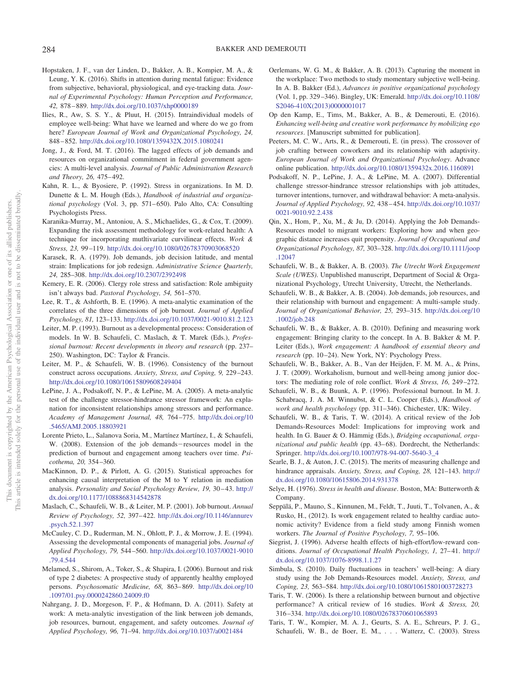- <span id="page-11-11"></span>Hopstaken, J. F., van der Linden, D., Bakker, A. B., Kompier, M. A., & Leung, Y. K. (2016). Shifts in attention during mental fatigue: Evidence from subjective, behavioral, physiological, and eye-tracking data. *Journal of Experimental Psychology: Human Perception and Performance, 42,* 878 – 889. <http://dx.doi.org/10.1037/xhp0000189>
- <span id="page-11-33"></span>Ilies, R., Aw, S. S. Y., & Pluut, H. (2015). Intraindividual models of employee well-being: What have we learned and where do we go from here? *European Journal of Work and Organizational Psychology, 24,* 848 – 852. <http://dx.doi.org/10.1080/1359432X.2015.1080241>
- <span id="page-11-20"></span>Jong, J., & Ford, M. T. (2016). The lagged effects of job demands and resources on organizational commitment in federal government agencies: A multi-level analysis. *Journal of Public Administration Research and Theory, 26,* 475– 492.
- <span id="page-11-23"></span>Kahn, R. L., & Byosiere, P. (1992). Stress in organizations. In M. D. Dunette & L. M. Hough (Eds.), *Handbook of industrial and organizational psychology* (Vol. 3, pp. 571– 650). Palo Alto, CA: Consulting Psychologists Press.
- <span id="page-11-22"></span>Karanika-Murray, M., Antoniou, A. S., Michaelides, G., & Cox, T. (2009). Expanding the risk assessment methodology for work-related health: A technique for incorporating mutltivariate curvilinear effects. *Work & Stress, 23,* 99 –119. <http://dx.doi.org/10.1080/02678370903068520>
- <span id="page-11-6"></span>Karasek, R. A. (1979). Job demands, job decision latitude, and mental strain: Implications for job redesign. *Administrative Science Quarterly, 24,* 285–308. <http://dx.doi.org/10.2307/2392498>
- <span id="page-11-21"></span>Kemery, E. R. (2006). Clergy role stress and satisfaction: Role ambiguity isn't always bad. *Pastoral Psychology, 54,* 561–570.
- <span id="page-11-4"></span>Lee, R. T., & Ashforth, B. E. (1996). A meta-analytic examination of the correlates of the three dimensions of job burnout. *Journal of Applied Psychology, 81,* 123–133. <http://dx.doi.org/10.1037/0021-9010.81.2.123>
- <span id="page-11-13"></span>Leiter, M. P. (1993). Burnout as a developmental process: Consideration of models. In W. B. Schaufeli, C. Maslach, & T. Marek (Eds.), *Professional burnout: Recent developments in theory and research* (pp. 237– 250). Washington, DC: Taylor & Francis.
- <span id="page-11-1"></span>Leiter, M. P., & Schaufeli, W. B. (1996). Consistency of the burnout construct across occupations. *Anxiety, Stress, and Coping, 9,* 229 –243. <http://dx.doi.org/10.1080/10615809608249404>
- <span id="page-11-16"></span>LePine, J. A., Podsakoff, N. P., & LePine, M. A. (2005). A meta-analytic test of the challenge stressor-hindrance stressor framework: An explanation for inconsistent relationships among stressors and performance. *Academy of Management Journal, 48,* 764 –775. [http://dx.doi.org/10](http://dx.doi.org/10.5465/AMJ.2005.18803921) [.5465/AMJ.2005.18803921](http://dx.doi.org/10.5465/AMJ.2005.18803921)
- <span id="page-11-25"></span>Lorente Prieto, L., Salanova Soria, M., Martínez Martínez, I., & Schaufeli, W. (2008). Extension of the job demands-resources model in the prediction of burnout and engagement among teachers over time. *Psicothema, 20,* 354 –360.
- <span id="page-11-24"></span>MacKinnon, D. P., & Pirlott, A. G. (2015). Statistical approaches for enhancing causal interpretation of the M to Y relation in mediation analysis. Personality and Social Psychology Review, 19, 30-43. [http://](http://dx.doi.org/10.1177/1088868314542878) [dx.doi.org/10.1177/1088868314542878](http://dx.doi.org/10.1177/1088868314542878)
- <span id="page-11-2"></span>Maslach, C., Schaufeli, W. B., & Leiter, M. P. (2001). Job burnout. *Annual Review of Psychology, 52,* 397– 422. [http://dx.doi.org/10.1146/annurev](http://dx.doi.org/10.1146/annurev.psych.52.1.397) [.psych.52.1.397](http://dx.doi.org/10.1146/annurev.psych.52.1.397)
- <span id="page-11-18"></span>McCauley, C. D., Ruderman, M. N., Ohlott, P. J., & Morrow, J. E. (1994). Assessing the developmental components of managerial jobs. *Journal of Applied Psychology, 79,* 544 –560. [http://dx.doi.org/10.1037/0021-9010](http://dx.doi.org/10.1037/0021-9010.79.4.544) [.79.4.544](http://dx.doi.org/10.1037/0021-9010.79.4.544)
- <span id="page-11-29"></span>Melamed, S., Shirom, A., Toker, S., & Shapira, I. (2006). Burnout and risk of type 2 diabetes: A prospective study of apparently healthy employed persons. *Psychosomatic Medicine, 68,* 863– 869. [http://dx.doi.org/10](http://dx.doi.org/10.1097/01.psy.0000242860.24009.f0) [.1097/01.psy.0000242860.24009.f0](http://dx.doi.org/10.1097/01.psy.0000242860.24009.f0)
- <span id="page-11-0"></span>Nahrgang, J. D., Morgeson, F. P., & Hofmann, D. A. (2011). Safety at work: A meta-analytic investigation of the link between job demands, job resources, burnout, engagement, and safety outcomes. *Journal of Applied Psychology, 96,* 71–94. <http://dx.doi.org/10.1037/a0021484>
- <span id="page-11-32"></span>Oerlemans, W. G. M., & Bakker, A. B. (2013). Capturing the moment in the workplace: Two methods to study momentary subjective well-being. In A. B. Bakker (Ed.), *Advances in positive organizational psychology* (Vol. 1, pp. 329 –346). Bingley, UK: Emerald. [http://dx.doi.org/10.1108/](http://dx.doi.org/10.1108/S2046-410X%282013%290000001017) [S2046-410X\(2013\)0000001017](http://dx.doi.org/10.1108/S2046-410X%282013%290000001017)
- <span id="page-11-31"></span>Op den Kamp, E., Tims, M., Bakker, A. B., & Demerouti, E. (2016). *Enhancing well-being and creative work performance by mobilizing ego resources*. [Manuscript submitted for publication].
- <span id="page-11-30"></span>Peeters, M. C. W., Arts, R., & Demerouti, E. (in press). The crossover of job crafting between coworkers and its relationship with adaptivity. *European Journal of Work and Organizational Psychology*. Advance online publication. <http://dx.doi.org/10.1080/1359432x.2016.1160891>
- <span id="page-11-17"></span>Podsakoff, N. P., LePine, J. A., & LePine, M. A. (2007). Differential challenge stressor-hindrance stressor relationships with job attitudes, turnover intentions, turnover, and withdrawal behavior: A meta-analysis. *Journal of Applied Psychology, 92,* 438 – 454. [http://dx.doi.org/10.1037/](http://dx.doi.org/10.1037/0021-9010.92.2.438) [0021-9010.92.2.438](http://dx.doi.org/10.1037/0021-9010.92.2.438)
- <span id="page-11-27"></span>Qin, X., Hom, P., Xu, M., & Ju, D. (2014). Applying the Job Demands-Resources model to migrant workers: Exploring how and when geographic distance increases quit propensity. *Journal of Occupational and Organizational Psychology, 87,* 303–328. [http://dx.doi.org/10.1111/joop](http://dx.doi.org/10.1111/joop.12047) [.12047](http://dx.doi.org/10.1111/joop.12047)
- <span id="page-11-8"></span>Schaufeli, W. B., & Bakker, A. B. (2003). *The Utrecht Work Engagement Scale (UWES)*. Unpublished manuscript, Department of Social & Organizational Psychology, Utrecht University, Utrecht, the Netherlands.
- <span id="page-11-12"></span>Schaufeli, W. B., & Bakker, A. B. (2004). Job demands, job resources, and their relationship with burnout and engagement: A multi-sample study. *Journal of Organizational Behavior, 25,* 293–315. [http://dx.doi.org/10](http://dx.doi.org/10.1002/job.248) [.1002/job.248](http://dx.doi.org/10.1002/job.248)
- <span id="page-11-9"></span>Schaufeli, W. B., & Bakker, A. B. (2010). Defining and measuring work engagement: Bringing clarity to the concept. In A. B. Bakker & M. P. Leiter (Eds.), *Work engagement: A handbook of essential theory and research* (pp. 10–24). New York, NY: Psychology Press.
- <span id="page-11-26"></span>Schaufeli, W. B., Bakker, A. B., Van der Heijden, F. M. M. A., & Prins, J. T. (2009). Workaholism, burnout and well-being among junior doctors: The mediating role of role conflict. *Work & Stress, 16,* 249 –272.
- <span id="page-11-3"></span>Schaufeli, W. B., & Buunk, A. P. (1996). Professional burnout. In M. J. Schabracq, J. A. M. Winnubst, & C. L. Cooper (Eds.), *Handbook of work and health psychology* (pp. 311–346). Chichester, UK: Wiley.
- <span id="page-11-14"></span>Schaufeli, W. B., & Taris, T. W. (2014). A critical review of the Job Demands-Resources Model: Implications for improving work and health. In G. Bauer & O. Hämmig (Eds.), *Bridging occupational, organizational and public health* (pp. 43– 68). Dordrecht, the Netherlands: Springer. [http://dx.doi.org/10.1007/978-94-007-5640-3\\_4](http://dx.doi.org/10.1007/978-94-007-5640-3_4)
- <span id="page-11-19"></span>Searle, B. J., & Auton, J. C. (2015). The merits of measuring challenge and hindrance appraisals. *Anxiety, Stress, and Coping, 28,* 121–143. [http://](http://dx.doi.org/10.1080/10615806.2014.931378) [dx.doi.org/10.1080/10615806.2014.931378](http://dx.doi.org/10.1080/10615806.2014.931378)
- <span id="page-11-15"></span>Selye, H. (1976). *Stress in health and disease*. Boston, MA: Butterworth & Company.
- <span id="page-11-28"></span>Seppälä, P., Mauno, S., Kinnunen, M., Feldt, T., Juuti, T., Tolvanen, A., & Rusko, H., (2012). Is work engagement related to healthy cardiac autonomic activity? Evidence from a field study among Finnish women workers. *The Journal of Positive Psychology, 7,* 95–106.
- <span id="page-11-7"></span>Siegrist, J. (1996). Adverse health effects of high-effort/low-reward conditions. *Journal of Occupational Health Psychology, 1, 27-41. [http://](http://dx.doi.org/10.1037/1076-8998.1.1.27)* [dx.doi.org/10.1037/1076-8998.1.1.27](http://dx.doi.org/10.1037/1076-8998.1.1.27)
- <span id="page-11-5"></span>Simbula, S. (2010). Daily fluctuations in teachers' well-being: A diary study using the Job Demands-Resources model. *Anxiety, Stress, and Coping, 23,* 563–584. <http://dx.doi.org/10.1080/10615801003728273>
- <span id="page-11-10"></span>Taris, T. W. (2006). Is there a relationship between burnout and objective performance? A critical review of 16 studies. *Work & Stress, 20,* 316 –334. <http://dx.doi.org/10.1080/02678370601065893>
- <span id="page-11-34"></span>Taris, T. W., Kompier, M. A. J., Geurts, S. A. E., Schreurs, P. J. G., Schaufeli, W. B., de Boer, E. M.,... Watterz, C. (2003). Stress